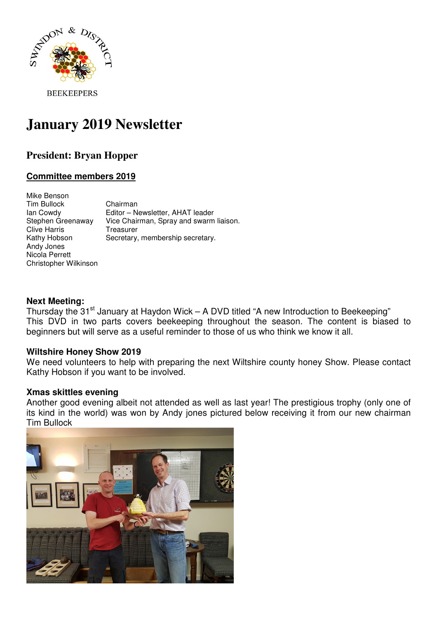

**BEEKEEPERS** 

# **January 2019 Newsletter**

# **President: Bryan Hopper**

# **Committee members 2019**

| Mike Benson           |                                         |
|-----------------------|-----------------------------------------|
| Tim Bullock           | Chairman                                |
| lan Cowdy             | Editor - Newsletter, AHAT leader        |
| Stephen Greenaway     | Vice Chairman, Spray and swarm liaison. |
| <b>Clive Harris</b>   | Treasurer                               |
| Kathy Hobson          | Secretary, membership secretary.        |
| Andy Jones            |                                         |
| Nicola Perrett        |                                         |
| Christopher Wilkinson |                                         |

#### **Next Meeting:**

Thursday the  $31<sup>st</sup>$  January at Haydon Wick – A DVD titled "A new Introduction to Beekeeping" This DVD in two parts covers beekeeping throughout the season. The content is biased to beginners but will serve as a useful reminder to those of us who think we know it all.

#### **Wiltshire Honey Show 2019**

We need volunteers to help with preparing the next Wiltshire county honey Show. Please contact Kathy Hobson if you want to be involved.

#### **Xmas skittles evening**

Another good evening albeit not attended as well as last year! The prestigious trophy (only one of its kind in the world) was won by Andy jones pictured below receiving it from our new chairman Tim Bullock

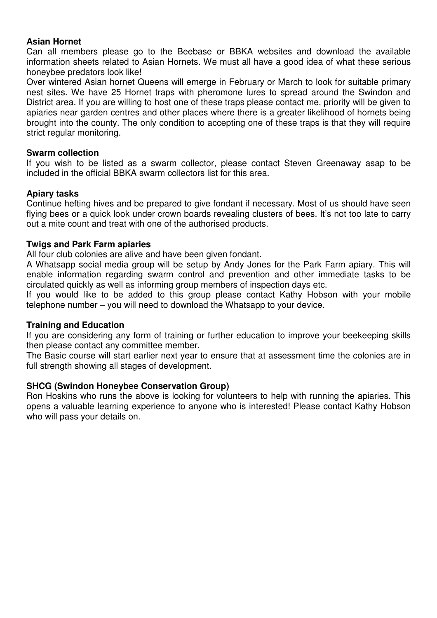## **Asian Hornet**

Can all members please go to the Beebase or BBKA websites and download the available information sheets related to Asian Hornets. We must all have a good idea of what these serious honeybee predators look like!

Over wintered Asian hornet Queens will emerge in February or March to look for suitable primary nest sites. We have 25 Hornet traps with pheromone lures to spread around the Swindon and District area. If you are willing to host one of these traps please contact me, priority will be given to apiaries near garden centres and other places where there is a greater likelihood of hornets being brought into the county. The only condition to accepting one of these traps is that they will require strict regular monitoring.

#### **Swarm collection**

If you wish to be listed as a swarm collector, please contact Steven Greenaway asap to be included in the official BBKA swarm collectors list for this area.

#### **Apiary tasks**

Continue hefting hives and be prepared to give fondant if necessary. Most of us should have seen flying bees or a quick look under crown boards revealing clusters of bees. It's not too late to carry out a mite count and treat with one of the authorised products.

#### **Twigs and Park Farm apiaries**

All four club colonies are alive and have been given fondant.

A Whatsapp social media group will be setup by Andy Jones for the Park Farm apiary. This will enable information regarding swarm control and prevention and other immediate tasks to be circulated quickly as well as informing group members of inspection days etc.

If you would like to be added to this group please contact Kathy Hobson with your mobile telephone number – you will need to download the Whatsapp to your device.

#### **Training and Education**

If you are considering any form of training or further education to improve your beekeeping skills then please contact any committee member.

The Basic course will start earlier next year to ensure that at assessment time the colonies are in full strength showing all stages of development.

#### **SHCG (Swindon Honeybee Conservation Group)**

Ron Hoskins who runs the above is looking for volunteers to help with running the apiaries. This opens a valuable learning experience to anyone who is interested! Please contact Kathy Hobson who will pass your details on.